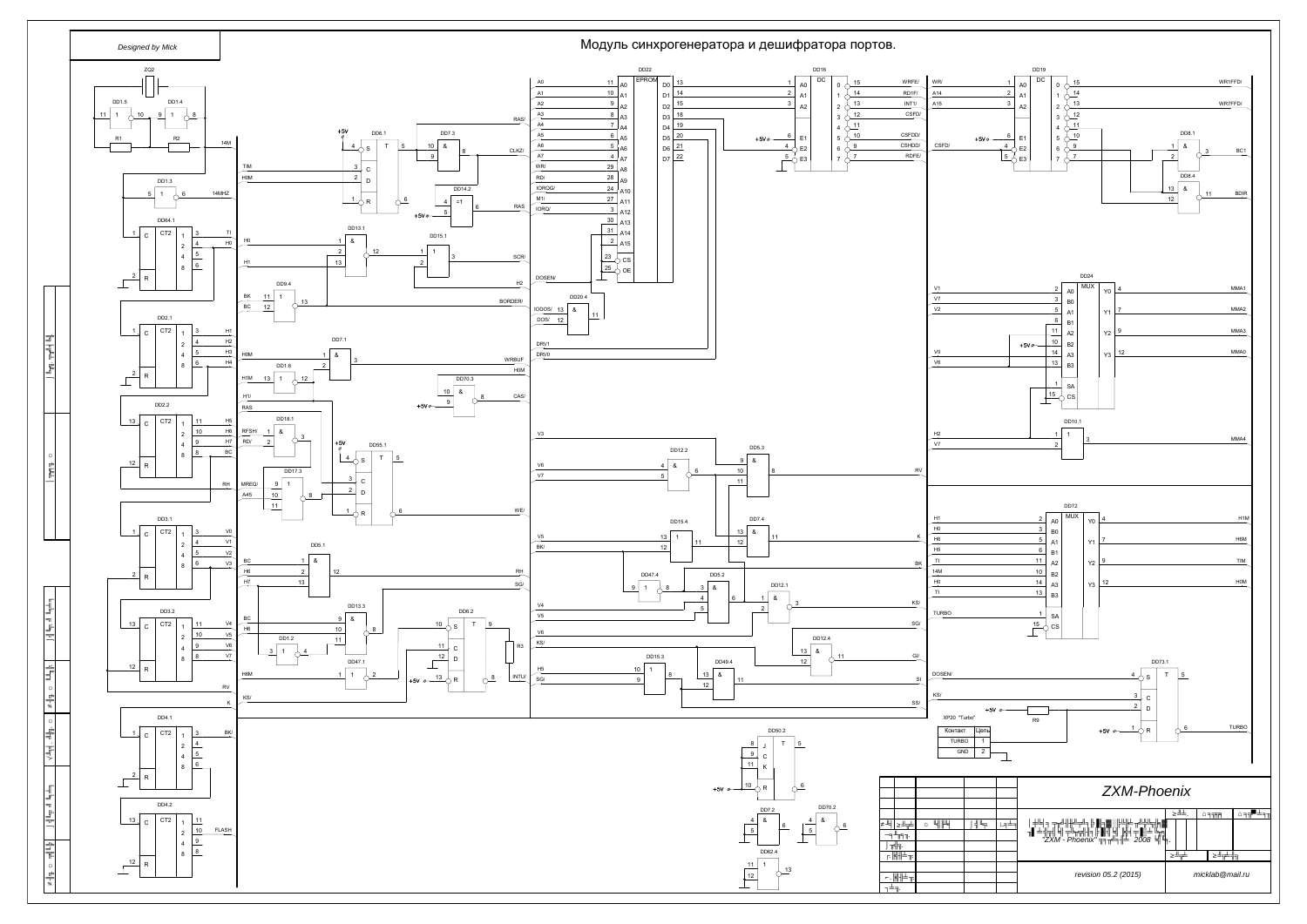*Инв. дубл*

*Взам. инв.* 

*Подп. дата*

*Инв. подл. Подп. дата Справ. № Перв. примен*

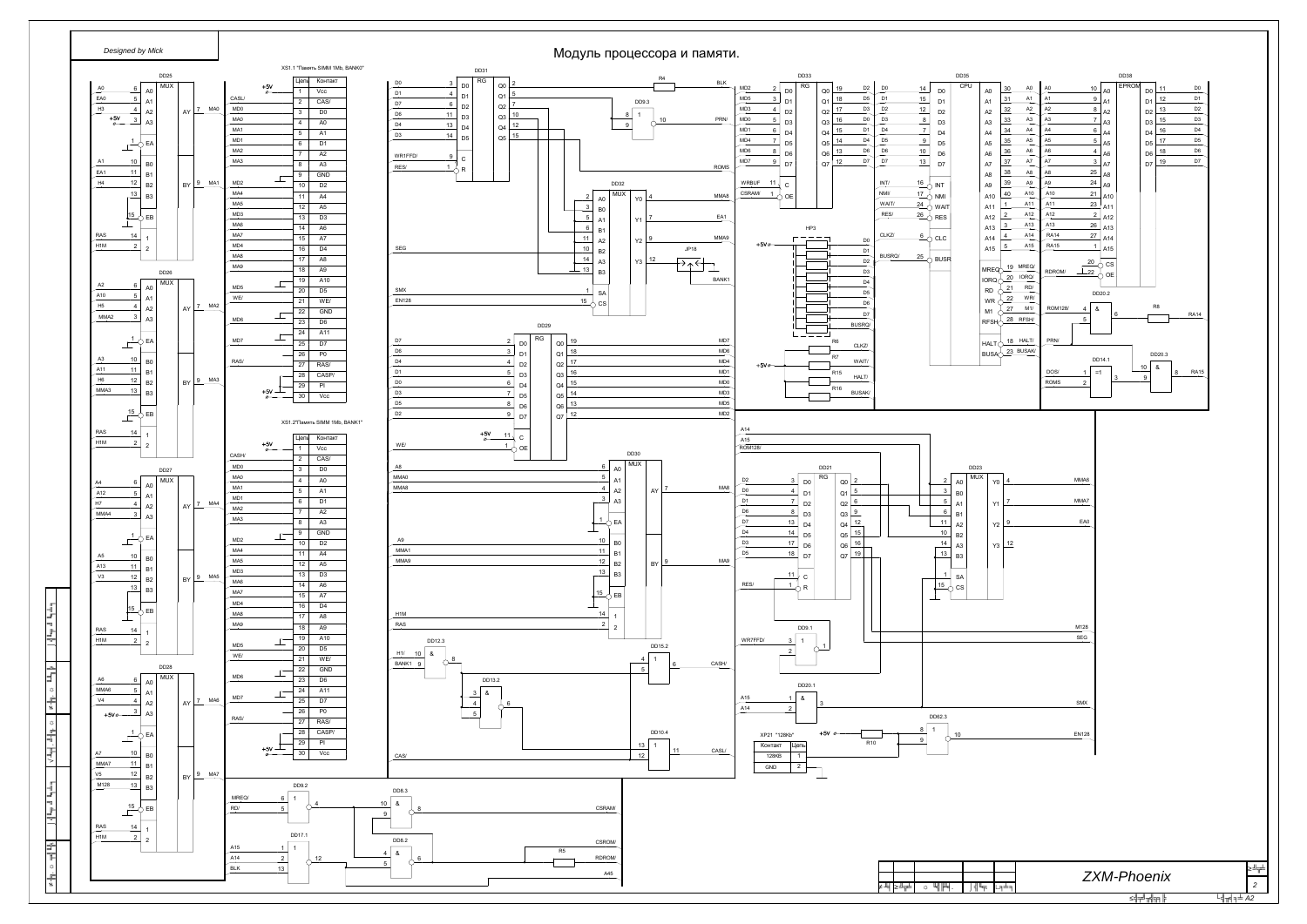*Инв. подл. Подп. дата Взам. инв. Инв. дубл. Подп. дата*

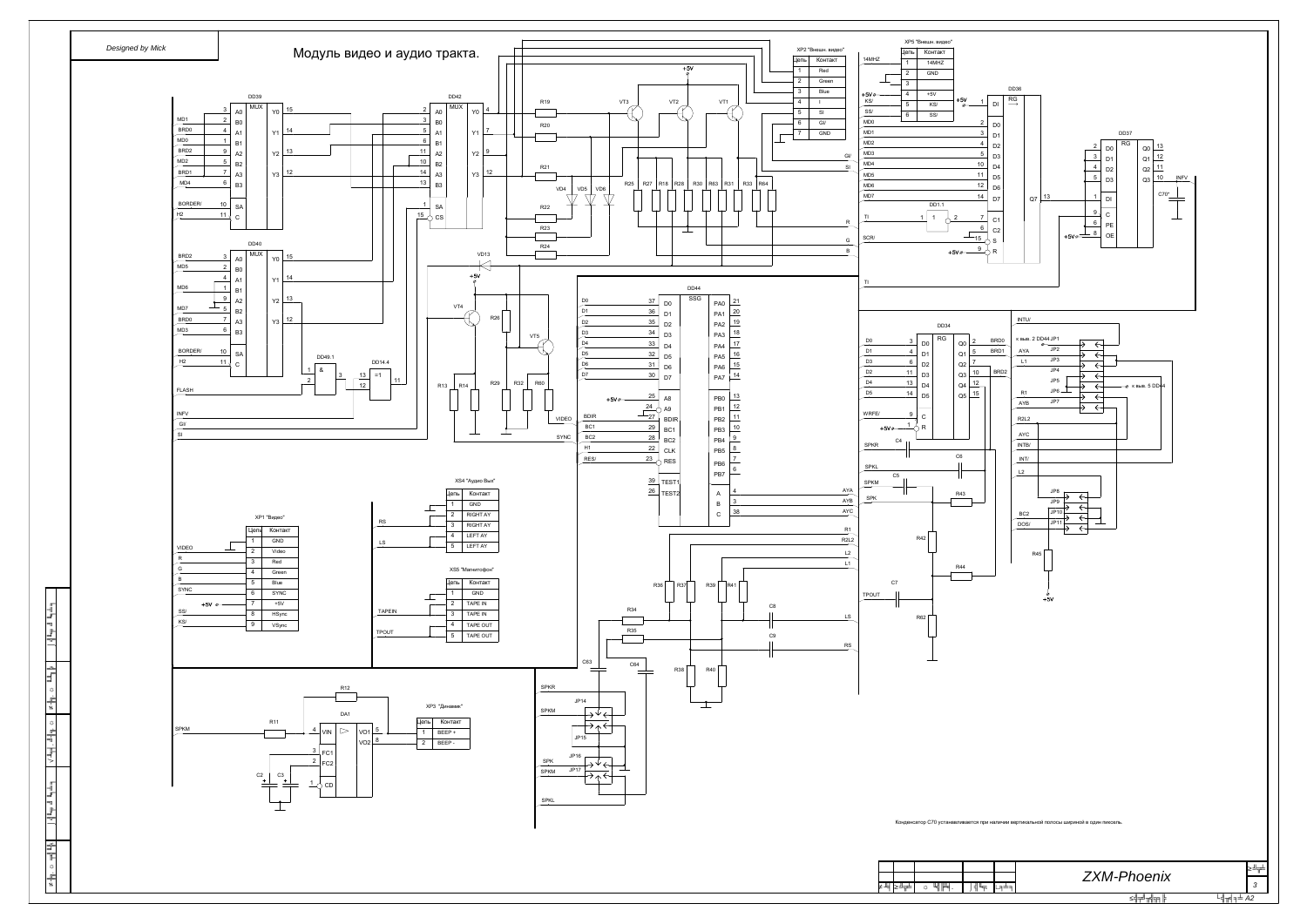*.*



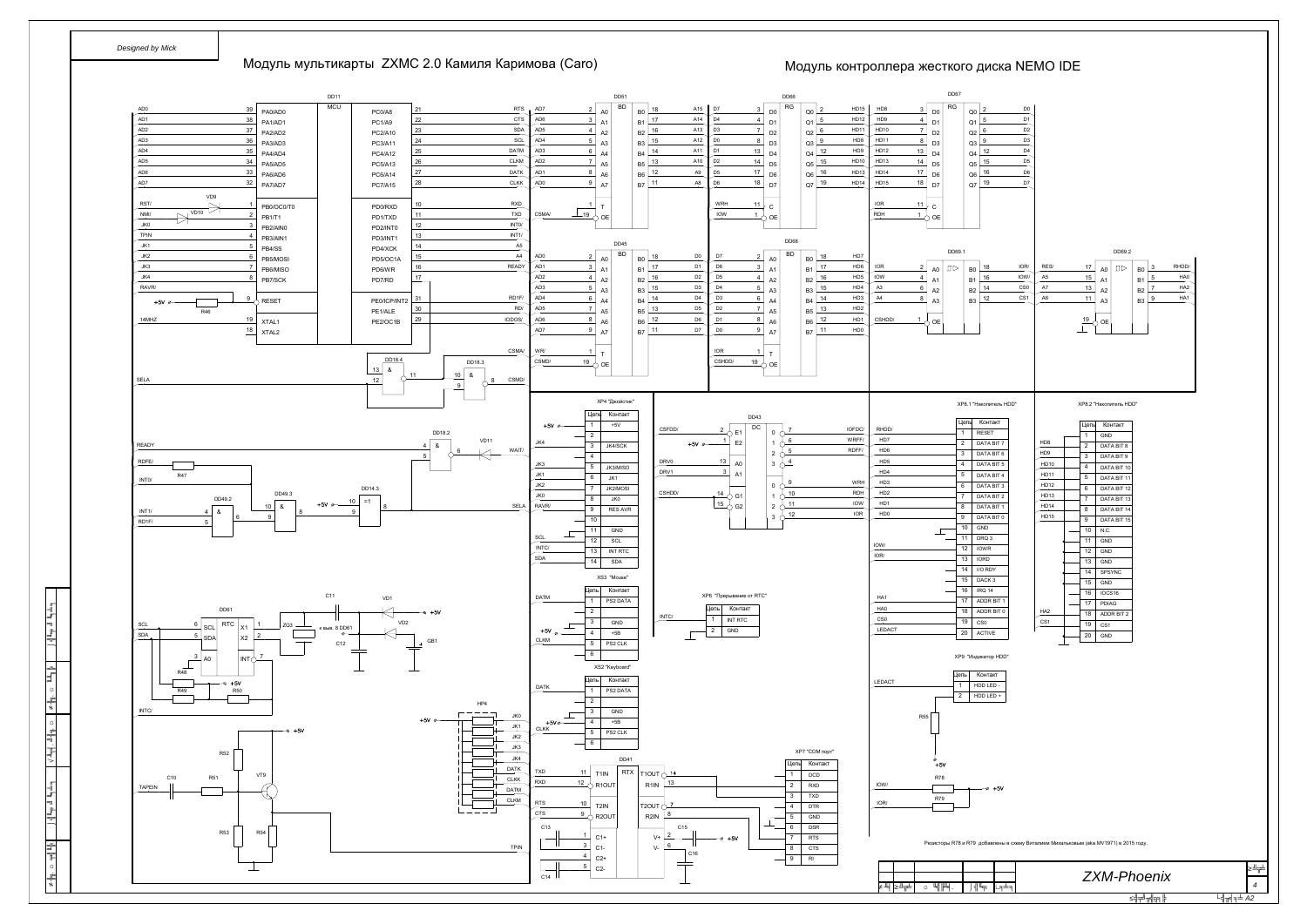*Инв. подл*

*Подп. дата Взам. инв. Инв. дубл*

*Подп. дата*

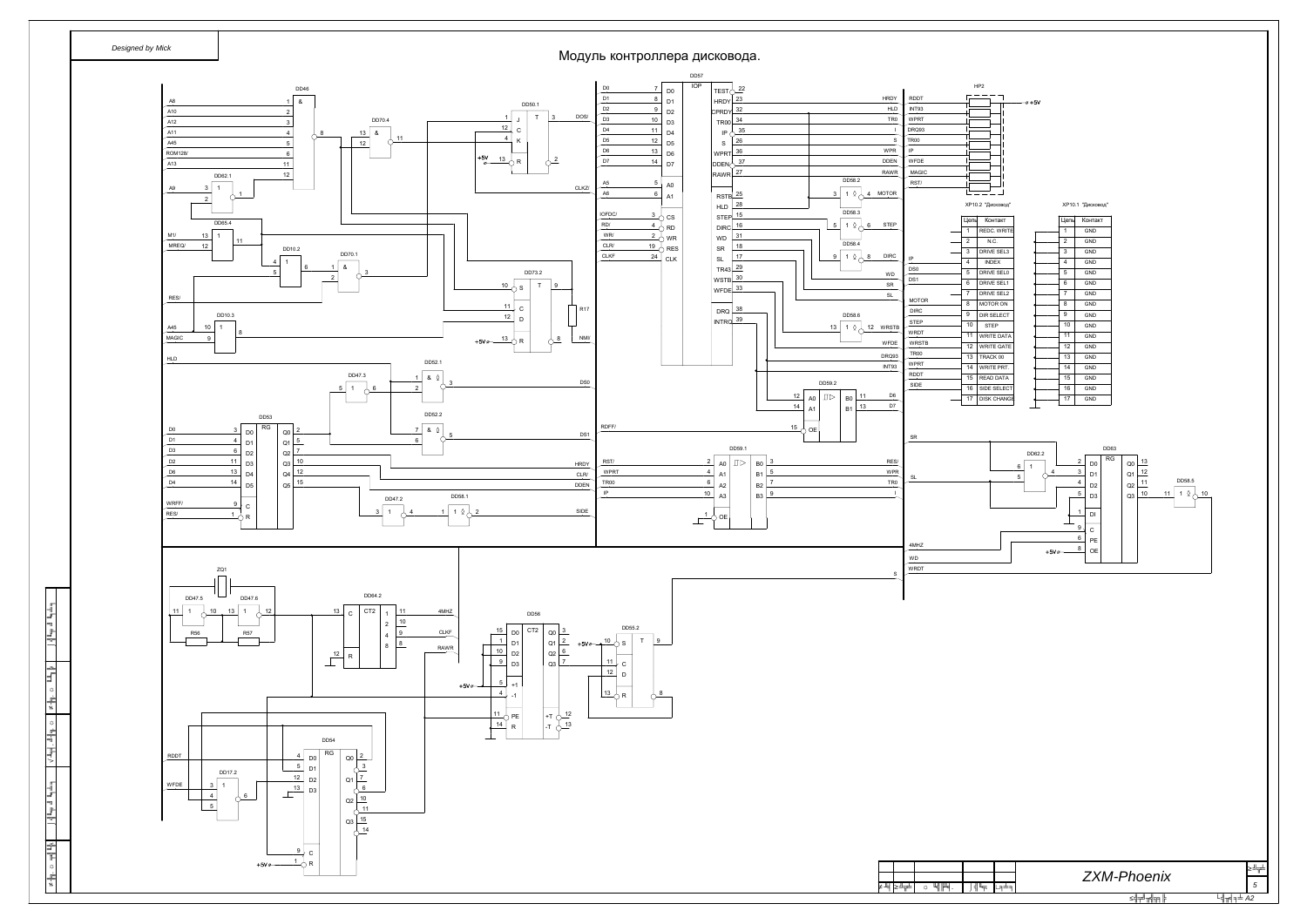*Инв. подл*

*Подп. дата Взам. инв. Инв. дубл*

*Подп. дата*

|   |                | ХР10.1 "Дисковод" |  |
|---|----------------|-------------------|--|
|   | Цепь           | Контакт           |  |
|   | 1              | <b>GND</b>        |  |
|   | $\overline{2}$ | <b>GND</b>        |  |
|   | 3              | <b>GND</b>        |  |
|   | 4              | <b>GND</b>        |  |
|   | 5              | <b>GND</b>        |  |
|   | 6              | <b>GND</b>        |  |
|   | $\overline{7}$ | <b>GND</b>        |  |
|   | 8              | <b>GND</b>        |  |
|   | 9              | <b>GND</b>        |  |
|   | 10             | <b>GND</b>        |  |
|   | 11             | <b>GND</b>        |  |
|   | 12             | <b>GND</b>        |  |
|   | 13             | <b>GND</b>        |  |
|   | 14             | GND               |  |
|   | 15             | <b>GND</b>        |  |
|   | 16             | <b>GND</b>        |  |
| E | 17             | <b>GND</b>        |  |
|   |                |                   |  |